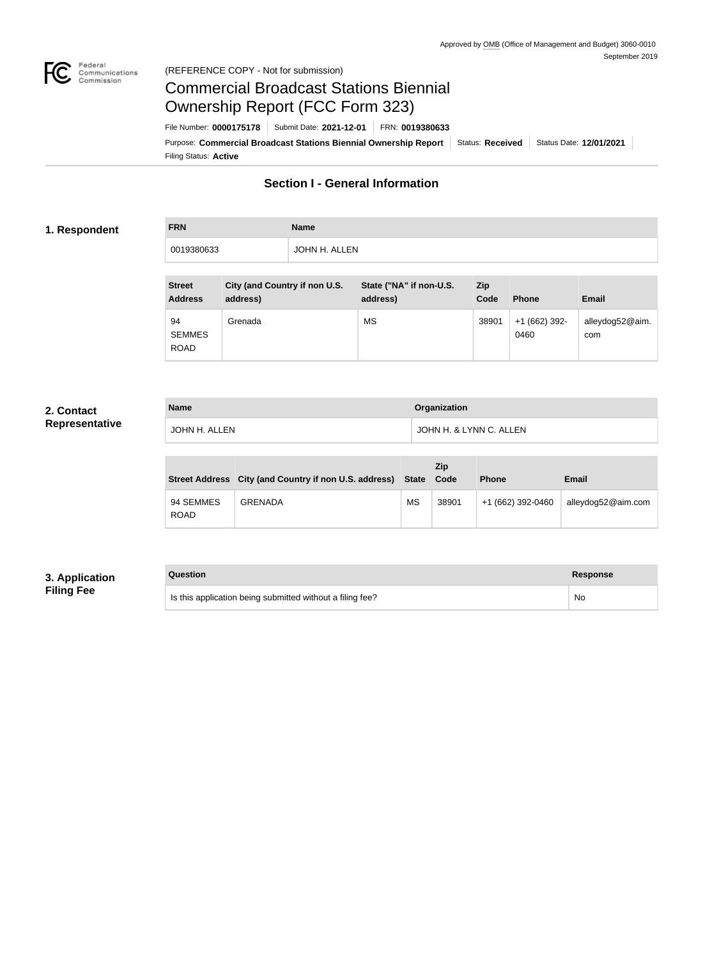

# Commercial Broadcast Stations Biennial Ownership Report (FCC Form 323)

Filing Status: **Active** Purpose: Commercial Broadcast Stations Biennial Ownership Report Status: Received Status Date: 12/01/2021 File Number: **0000175178** Submit Date: **2021-12-01** FRN: **0019380633**

## **Section I - General Information**

#### **1. Respondent**

**FRN Name** 0019380633 JOHN H. ALLEN

| <b>Street</b><br><b>Address</b>    | City (and Country if non U.S.<br>address) | State ("NA" if non-U.S.<br>address) | <b>Zip</b><br>Code | <b>Phone</b>          | <b>Email</b>           |
|------------------------------------|-------------------------------------------|-------------------------------------|--------------------|-----------------------|------------------------|
| 94<br><b>SEMMES</b><br><b>ROAD</b> | Grenada                                   | <b>MS</b>                           | 38901              | $+1(662)392-$<br>0460 | alleydog52@aim.<br>com |

#### **2. Contact Representative**

| <b>Name</b>   | <b>Organization</b>     |  |
|---------------|-------------------------|--|
| JOHN H. ALLEN | JOHN H. & LYNN C. ALLEN |  |

|                          | Street Address City (and Country if non U.S. address) State Code |           | Zip   | <b>Phone</b>      | <b>Email</b>       |
|--------------------------|------------------------------------------------------------------|-----------|-------|-------------------|--------------------|
| 94 SEMMES<br><b>ROAD</b> | <b>GRENADA</b>                                                   | <b>MS</b> | 38901 | +1 (662) 392-0460 | alleydog52@aim.com |

### **3. Application Filing Fee**

#### **Question Response**

Is this application being submitted without a filing fee? No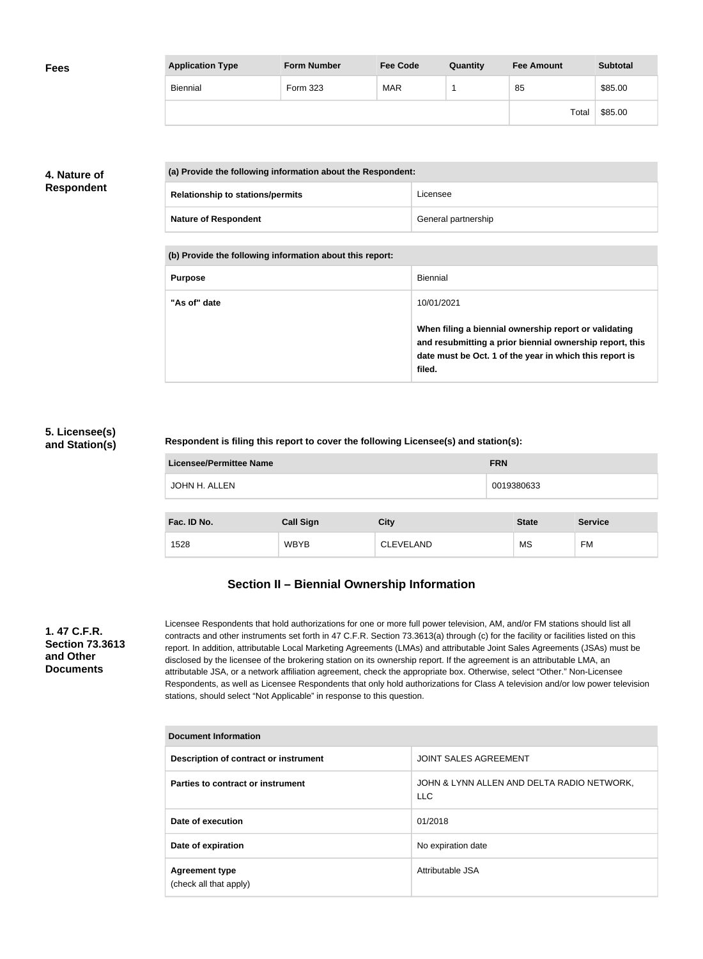| <b>Fees</b> | <b>Application Type</b> | <b>Form Number</b> | <b>Fee Code</b> | Quantity | <b>Fee Amount</b> | <b>Subtotal</b> |
|-------------|-------------------------|--------------------|-----------------|----------|-------------------|-----------------|
|             | Biennial                | Form 323           | <b>MAR</b>      |          | 85                | \$85.00         |
|             |                         |                    |                 |          | Total             | \$85.00         |

### **4. Nature of Respondent**

| (a) Provide the following information about the Respondent: |                     |  |  |
|-------------------------------------------------------------|---------------------|--|--|
| <b>Relationship to stations/permits</b>                     | Licensee            |  |  |
| <b>Nature of Respondent</b>                                 | General partnership |  |  |

**(b) Provide the following information about this report:**

| <b>Purpose</b> | <b>Biennial</b>                                                                                                                                                                        |
|----------------|----------------------------------------------------------------------------------------------------------------------------------------------------------------------------------------|
| "As of" date   | 10/01/2021                                                                                                                                                                             |
|                | When filing a biennial ownership report or validating<br>and resubmitting a prior biennial ownership report, this<br>date must be Oct. 1 of the year in which this report is<br>filed. |

#### **5. Licensee(s) and Station(s)**

#### **Respondent is filing this report to cover the following Licensee(s) and station(s):**

| <b>Licensee/Permittee Name</b> | <b>FRN</b>       |                  |              |                |
|--------------------------------|------------------|------------------|--------------|----------------|
| JOHN H. ALLEN                  |                  |                  | 0019380633   |                |
|                                |                  |                  |              |                |
| Fac. ID No.                    | <b>Call Sign</b> | <b>City</b>      | <b>State</b> | <b>Service</b> |
| 1528                           | <b>WBYB</b>      | <b>CLEVELAND</b> | <b>MS</b>    | <b>FM</b>      |

# **Section II – Biennial Ownership Information**

#### **1. 47 C.F.R. Section 73.3613 and Other Documents**

Licensee Respondents that hold authorizations for one or more full power television, AM, and/or FM stations should list all contracts and other instruments set forth in 47 C.F.R. Section 73.3613(a) through (c) for the facility or facilities listed on this report. In addition, attributable Local Marketing Agreements (LMAs) and attributable Joint Sales Agreements (JSAs) must be disclosed by the licensee of the brokering station on its ownership report. If the agreement is an attributable LMA, an attributable JSA, or a network affiliation agreement, check the appropriate box. Otherwise, select "Other." Non-Licensee Respondents, as well as Licensee Respondents that only hold authorizations for Class A television and/or low power television stations, should select "Not Applicable" in response to this question.

| <b>Document Information</b>                     |                                                          |  |  |  |  |
|-------------------------------------------------|----------------------------------------------------------|--|--|--|--|
| Description of contract or instrument           | <b>JOINT SALES AGREEMENT</b>                             |  |  |  |  |
| Parties to contract or instrument               | JOHN & LYNN ALLEN AND DELTA RADIO NETWORK,<br><b>LLC</b> |  |  |  |  |
| Date of execution                               | 01/2018                                                  |  |  |  |  |
| Date of expiration                              | No expiration date                                       |  |  |  |  |
| <b>Agreement type</b><br>(check all that apply) | Attributable JSA                                         |  |  |  |  |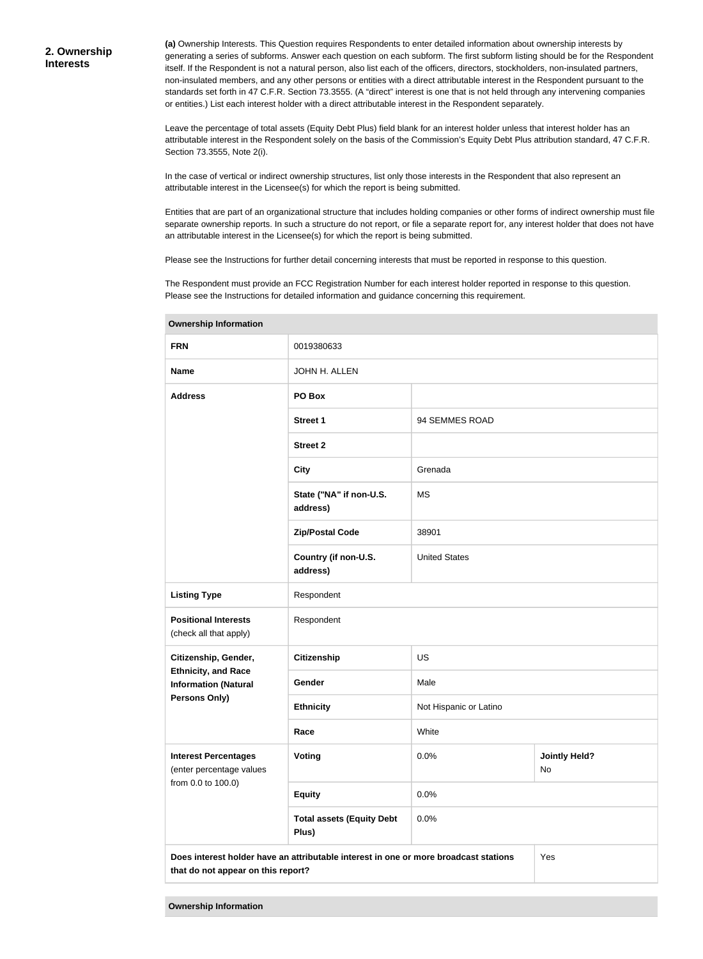**(a)** Ownership Interests. This Question requires Respondents to enter detailed information about ownership interests by generating a series of subforms. Answer each question on each subform. The first subform listing should be for the Respondent itself. If the Respondent is not a natural person, also list each of the officers, directors, stockholders, non-insulated partners, non-insulated members, and any other persons or entities with a direct attributable interest in the Respondent pursuant to the standards set forth in 47 C.F.R. Section 73.3555. (A "direct" interest is one that is not held through any intervening companies or entities.) List each interest holder with a direct attributable interest in the Respondent separately.

Leave the percentage of total assets (Equity Debt Plus) field blank for an interest holder unless that interest holder has an attributable interest in the Respondent solely on the basis of the Commission's Equity Debt Plus attribution standard, 47 C.F.R. Section 73.3555, Note 2(i).

In the case of vertical or indirect ownership structures, list only those interests in the Respondent that also represent an attributable interest in the Licensee(s) for which the report is being submitted.

Entities that are part of an organizational structure that includes holding companies or other forms of indirect ownership must file separate ownership reports. In such a structure do not report, or file a separate report for, any interest holder that does not have an attributable interest in the Licensee(s) for which the report is being submitted.

Please see the Instructions for further detail concerning interests that must be reported in response to this question.

The Respondent must provide an FCC Registration Number for each interest holder reported in response to this question. Please see the Instructions for detailed information and guidance concerning this requirement.

| <b>FRN</b>                                                | 0019380633                                                                                                                        |                        |                            |  |  |
|-----------------------------------------------------------|-----------------------------------------------------------------------------------------------------------------------------------|------------------------|----------------------------|--|--|
| <b>Name</b>                                               | JOHN H. ALLEN                                                                                                                     |                        |                            |  |  |
| <b>Address</b>                                            | PO Box                                                                                                                            |                        |                            |  |  |
|                                                           | <b>Street 1</b>                                                                                                                   | 94 SEMMES ROAD         |                            |  |  |
|                                                           | <b>Street 2</b>                                                                                                                   |                        |                            |  |  |
|                                                           | <b>City</b>                                                                                                                       | Grenada                |                            |  |  |
|                                                           | State ("NA" if non-U.S.<br>address)                                                                                               | <b>MS</b>              |                            |  |  |
|                                                           | <b>Zip/Postal Code</b>                                                                                                            | 38901                  |                            |  |  |
|                                                           | Country (if non-U.S.<br>address)                                                                                                  | <b>United States</b>   |                            |  |  |
| <b>Listing Type</b>                                       | Respondent                                                                                                                        |                        |                            |  |  |
| <b>Positional Interests</b><br>(check all that apply)     | Respondent                                                                                                                        |                        |                            |  |  |
| Citizenship, Gender,                                      | <b>Citizenship</b>                                                                                                                | <b>US</b>              |                            |  |  |
| <b>Ethnicity, and Race</b><br><b>Information (Natural</b> | Gender                                                                                                                            | Male                   |                            |  |  |
| Persons Only)                                             | <b>Ethnicity</b>                                                                                                                  | Not Hispanic or Latino |                            |  |  |
|                                                           | Race                                                                                                                              | White                  |                            |  |  |
| <b>Interest Percentages</b><br>(enter percentage values   | <b>Voting</b>                                                                                                                     | 0.0%                   | <b>Jointly Held?</b><br>No |  |  |
| from 0.0 to 100.0)                                        | <b>Equity</b>                                                                                                                     | 0.0%                   |                            |  |  |
|                                                           | <b>Total assets (Equity Debt</b><br>Plus)                                                                                         | 0.0%                   |                            |  |  |
|                                                           | Does interest holder have an attributable interest in one or more broadcast stations<br>Yes<br>that do not appear on this report? |                        |                            |  |  |

**Ownership Information**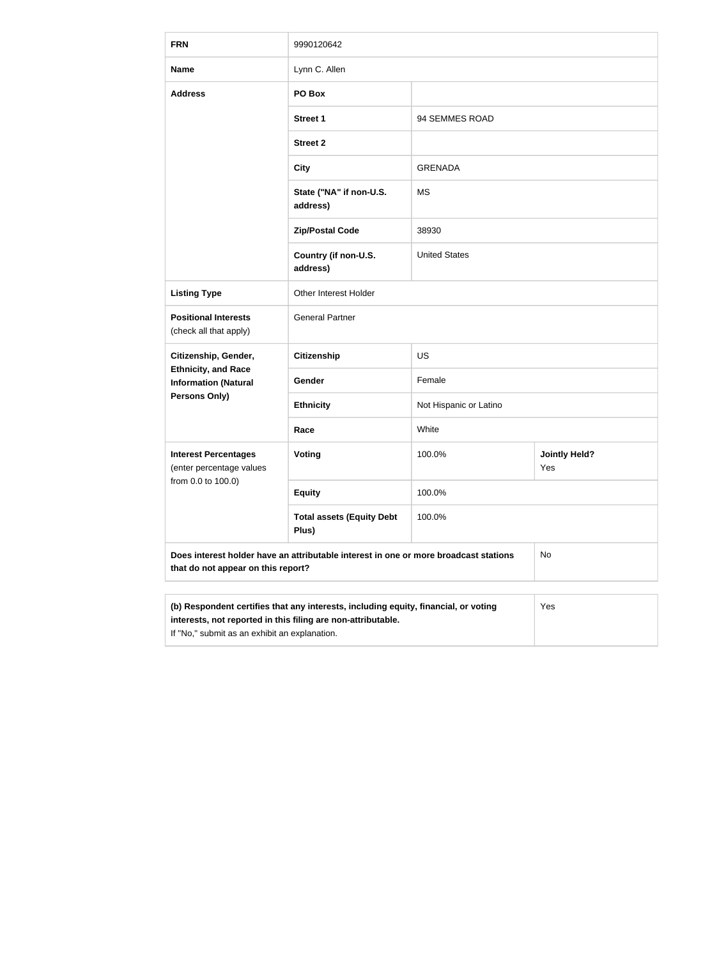| <b>FRN</b>                                                                                                                 | 9990120642                                                                                                                                                                                                  |                        |                             |  |  |  |
|----------------------------------------------------------------------------------------------------------------------------|-------------------------------------------------------------------------------------------------------------------------------------------------------------------------------------------------------------|------------------------|-----------------------------|--|--|--|
| <b>Name</b>                                                                                                                | Lynn C. Allen                                                                                                                                                                                               |                        |                             |  |  |  |
| <b>Address</b>                                                                                                             | PO Box                                                                                                                                                                                                      |                        |                             |  |  |  |
|                                                                                                                            | <b>Street 1</b>                                                                                                                                                                                             | 94 SEMMES ROAD         |                             |  |  |  |
|                                                                                                                            | <b>Street 2</b>                                                                                                                                                                                             |                        |                             |  |  |  |
|                                                                                                                            | <b>City</b>                                                                                                                                                                                                 | <b>GRENADA</b>         |                             |  |  |  |
|                                                                                                                            | State ("NA" if non-U.S.<br>address)                                                                                                                                                                         | <b>MS</b>              |                             |  |  |  |
|                                                                                                                            | <b>Zip/Postal Code</b>                                                                                                                                                                                      | 38930                  |                             |  |  |  |
|                                                                                                                            | Country (if non-U.S.<br>address)                                                                                                                                                                            | <b>United States</b>   |                             |  |  |  |
| <b>Listing Type</b>                                                                                                        | Other Interest Holder                                                                                                                                                                                       |                        |                             |  |  |  |
| <b>Positional Interests</b><br>(check all that apply)                                                                      | <b>General Partner</b>                                                                                                                                                                                      |                        |                             |  |  |  |
| Citizenship, Gender,                                                                                                       | <b>Citizenship</b>                                                                                                                                                                                          | <b>US</b>              |                             |  |  |  |
| <b>Ethnicity, and Race</b><br><b>Information (Natural</b>                                                                  | Gender                                                                                                                                                                                                      | Female                 |                             |  |  |  |
| Persons Only)                                                                                                              | <b>Ethnicity</b>                                                                                                                                                                                            | Not Hispanic or Latino |                             |  |  |  |
|                                                                                                                            | Race                                                                                                                                                                                                        | White                  |                             |  |  |  |
| <b>Interest Percentages</b><br>(enter percentage values                                                                    | Voting                                                                                                                                                                                                      | 100.0%                 | <b>Jointly Held?</b><br>Yes |  |  |  |
| from 0.0 to 100.0)                                                                                                         | <b>Equity</b>                                                                                                                                                                                               | 100.0%                 |                             |  |  |  |
|                                                                                                                            | <b>Total assets (Equity Debt</b><br>Plus)                                                                                                                                                                   | 100.0%                 |                             |  |  |  |
| Does interest holder have an attributable interest in one or more broadcast stations<br>that do not appear on this report? |                                                                                                                                                                                                             |                        | No                          |  |  |  |
|                                                                                                                            |                                                                                                                                                                                                             |                        |                             |  |  |  |
|                                                                                                                            | (b) Respondent certifies that any interests, including equity, financial, or voting<br>Yes<br>interests, not reported in this filing are non-attributable.<br>If "No," submit as an exhibit an explanation. |                        |                             |  |  |  |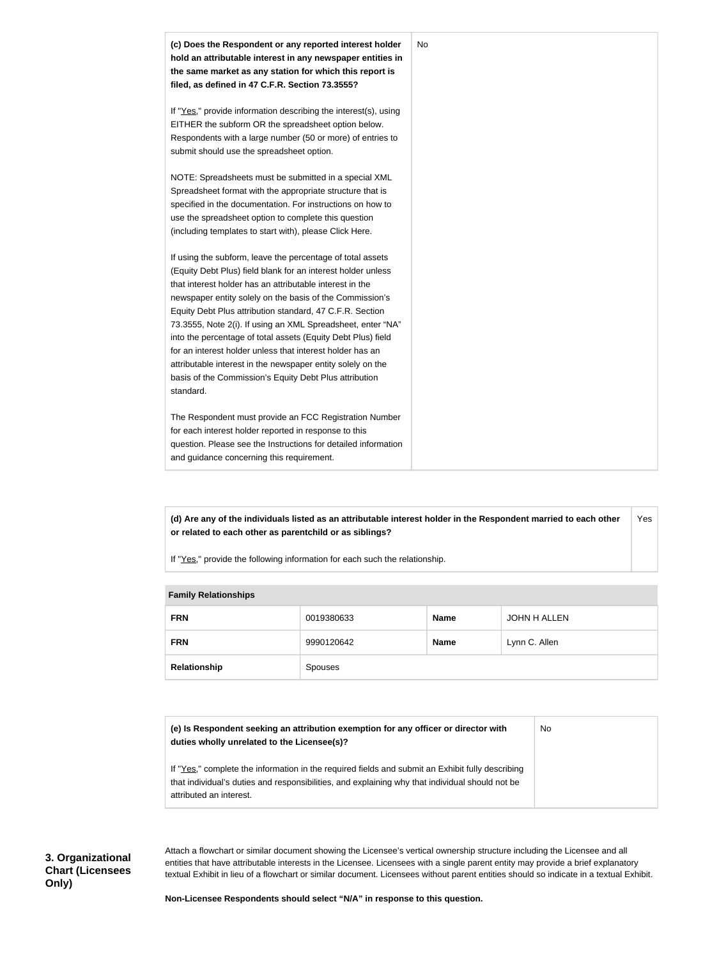

**(d) Are any of the individuals listed as an attributable interest holder in the Respondent married to each other or related to each other as parentchild or as siblings?** Yes

If "Yes," provide the following information for each such the relationship.

|  | <b>Family Relationships</b> |            |             |               |  |
|--|-----------------------------|------------|-------------|---------------|--|
|  | <b>FRN</b>                  | 0019380633 | <b>Name</b> | JOHN H ALLEN  |  |
|  | <b>FRN</b>                  | 9990120642 | <b>Name</b> | Lynn C. Allen |  |
|  | Relationship                | Spouses    |             |               |  |

#### **Family Relationships**

| (e) Is Respondent seeking an attribution exemption for any officer or director with<br>duties wholly unrelated to the Licensee(s)?                                                                  | No. |
|-----------------------------------------------------------------------------------------------------------------------------------------------------------------------------------------------------|-----|
| If "Yes," complete the information in the required fields and submit an Exhibit fully describing<br>that individual's duties and responsibilities, and explaining why that individual should not be |     |
| attributed an interest.                                                                                                                                                                             |     |

Attach a flowchart or similar document showing the Licensee's vertical ownership structure including the Licensee and all entities that have attributable interests in the Licensee. Licensees with a single parent entity may provide a brief explanatory textual Exhibit in lieu of a flowchart or similar document. Licensees without parent entities should so indicate in a textual Exhibit.

**Non-Licensee Respondents should select "N/A" in response to this question.**